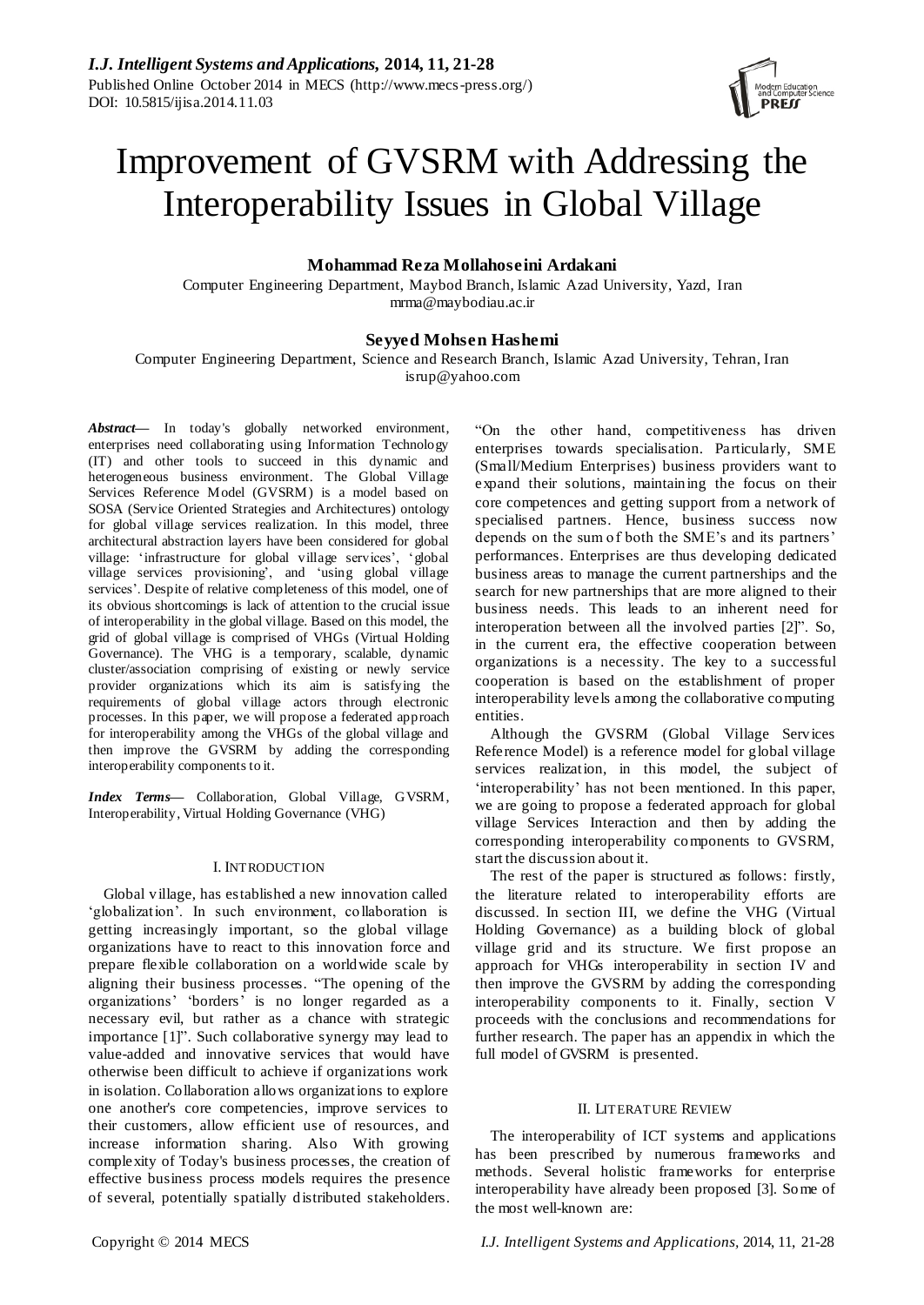

# Improvement of GVSRM with Addressing the Interoperability Issues in Global Village

# **Mohammad Reza Mollahoseini Ardakani**

Computer Engineering Department, Maybod Branch, Islamic Azad University, Yazd, Iran mrma@maybodiau.ac.ir

## **Seyyed Mohsen Hashemi**

Computer Engineering Department, Science and Research Branch, Islamic Azad University, Tehran, Iran isrup@yahoo.com

*Abstract***—** In today's globally networked environment, enterprises need collaborating using Information Technology (IT) and other tools to succeed in this dynamic and heterogeneous business environment. The Global Village Services Reference Model (GVSRM) is a model based on SOSA (Service Oriented Strategies and Architectures) ontology for global village services realization. In this model, three architectural abstraction layers have been considered for global village: 'infrastructure for global village services', 'global village services provisioning', and 'using global village services'. Despite of relative completeness of this model, one of its obvious shortcomings is lack of attention to the crucial issue of interoperability in the global village. Based on this model, the grid of global village is comprised of VHGs (Virtual Holding Governance). The VHG is a temporary, scalable, dynamic cluster/association comprising of existing or newly service provider organizations which its aim is satisfying the requirements of global village actors through electronic processes. In this paper, we will propose a federated approach for interoperability among the VHGs of the global village and then improve the GVSRM by adding the corresponding interoperability components to it.

*Index Terms***—** Collaboration, Global Village, GVSRM, Interoperability, Virtual Holding Governance (VHG)

## I. INTRODUCTION

Global village, has established a new innovation called ‗globalization'. In such environment, collaboration is getting increasingly important, so the global village organizations have to react to this innovation force and prepare flexible collaboration on a worldwide scale by aligning their business processes. "The opening of the organizations' ‗borders' is no longer regarded as a necessary evil, but rather as a chance with strategic importance [1]". Such collaborative synergy may lead to value-added and innovative services that would have otherwise been difficult to achieve if organizations work in isolation. Collaboration allows organizations to explore one another's core competencies, improve services to their customers, allow efficient use of resources, and increase information sharing. Also With growing complexity of Today's business processes, the creation of effective business process models requires the presence of several, potentially spatially distributed stakeholders.

―On the other hand, competitiveness has driven enterprises towards specialisation. Particularly, SME (Small/Medium Enterprises) business providers want to expand their solutions, maintaining the focus on their core competences and getting support from a network of specialised partners. Hence, business success now depends on the sum of both the SME's and its partners' performances. Enterprises are thus developing dedicated business areas to manage the current partnerships and the search for new partnerships that are more aligned to their business needs. This leads to an inherent need for interoperation between all the involved parties [2]". So, in the current era, the effective cooperation between organizations is a necessity. The key to a successful cooperation is based on the establishment of proper interoperability levels among the collaborative computing entities.

Although the GVSRM (Global Village Services Reference Model) is a reference model for global village services realization, in this model, the subject of 'interoperability' has not been mentioned. In this paper, we are going to propose a federated approach for global village Services Interaction and then by adding the corresponding interoperability components to GVSRM, start the discussion about it.

The rest of the paper is structured as follows: firstly, the literature related to interoperability efforts are discussed. In section III, we define the VHG (Virtual Holding Governance) as a building block of global village grid and its structure. We first propose an approach for VHGs interoperability in section IV and then improve the GVSRM by adding the corresponding interoperability components to it. Finally, section V proceeds with the conclusions and recommendations for further research. The paper has an appendix in which the full model of GVSRM is presented.

## II. LITERATURE REVIEW

The interoperability of ICT systems and applications has been prescribed by numerous frameworks and methods. Several holistic frameworks for enterprise interoperability have already been proposed [3]. Some of the most well-known are: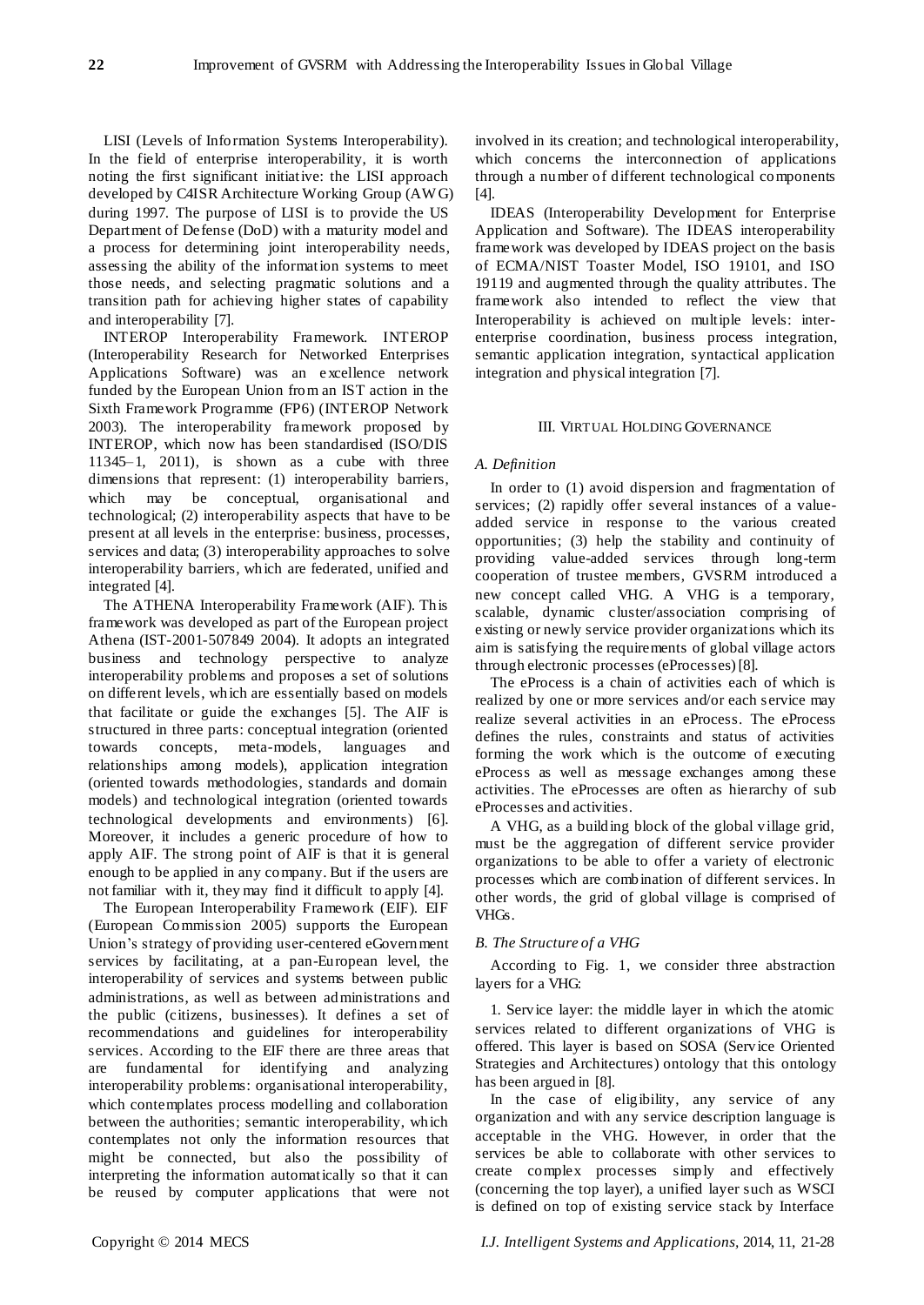LISI (Levels of Information Systems Interoperability). In the field of enterprise interoperability, it is worth noting the first significant initiative: the LISI approach developed by C4ISR Architecture Working Group (AW G) during 1997. The purpose of LISI is to provide the US Department of Defense (DoD) with a maturity model and a process for determining joint interoperability needs, assessing the ability of the information systems to meet those needs, and selecting pragmatic solutions and a transition path for achieving higher states of capability and interoperability [7].

INTEROP Interoperability Framework. INTEROP (Interoperability Research for Networked Enterprises Applications Software) was an e xcellence network funded by the European Union from an IST action in the Sixth Framework Programme (FP6) (INTEROP Network 2003). The interoperability framework proposed by INTEROP, which now has been standardised (ISO/DIS 11345–1, 2011), is shown as a cube with three dimensions that represent: (1) interoperability barriers, which may be conceptual, organisational and technological; (2) interoperability aspects that have to be present at all levels in the enterprise: business, processes, services and data; (3) interoperability approaches to solve interoperability barriers, which are federated, unified and integrated [4].

The ATHENA Interoperability Framework (AIF). This framework was developed as part of the European project Athena (IST-2001-507849 2004). It adopts an integrated business and technology perspective to analyze interoperability problems and proposes a set of solutions on different levels, which are essentially based on models that facilitate or guide the exchanges [5]. The AIF is structured in three parts: conceptual integration (oriented towards concepts, meta-models, languages and relationships among models), application integration (oriented towards methodologies, standards and domain models) and technological integration (oriented towards technological developments and environments) [6]. Moreover, it includes a generic procedure of how to apply AIF. The strong point of AIF is that it is general enough to be applied in any company. But if the users are not familiar with it, they may find it difficult to apply [4].

The European Interoperability Framework (EIF). EIF (European Commission 2005) supports the European Union's strategy of providing user-centered eGovernment services by facilitating, at a pan-European level, the interoperability of services and systems between public administrations, as well as between administrations and the public (citizens, businesses). It defines a set of recommendations and guidelines for interoperability services. According to the EIF there are three areas that are fundamental for identifying and analyzing interoperability problems: organisational interoperability, which contemplates process modelling and collaboration between the authorities; semantic interoperability, which contemplates not only the information resources that might be connected, but also the possibility of interpreting the information automatically so that it can be reused by computer applications that were not involved in its creation; and technological interoperability, which concerns the interconnection of applications through a number of different technological components [4].

IDEAS (Interoperability Development for Enterprise Application and Software). The IDEAS interoperability framework was developed by IDEAS project on the basis of ECMA/NIST Toaster Model, ISO 19101, and ISO 19119 and augmented through the quality attributes. The framework also intended to reflect the view that Interoperability is achieved on multiple levels: interenterprise coordination, business process integration, semantic application integration, syntactical application integration and physical integration [7].

## III. VIRTUAL HOLDING GOVERNANCE

## *A. Definition*

In order to (1) avoid dispersion and fragmentation of services; (2) rapidly offer several instances of a valueadded service in response to the various created opportunities; (3) help the stability and continuity of providing value-added services through long-term cooperation of trustee members, GVSRM introduced a new concept called VHG. A VHG is a temporary, scalable, dynamic cluster/association comprising of existing or newly service provider organizations which its aim is satisfying the requirements of global village actors through electronic processes (eProcesses)[8].

The eProcess is a chain of activities each of which is realized by one or more services and/or each s ervice may realize several activities in an eProcess. The eProcess defines the rules, constraints and status of activities forming the work which is the outcome of executing eProcess as well as message exchanges among these activities. The eProcesses are often as hierarchy of sub eProcesses and activities.

A VHG, as a building block of the global village grid, must be the aggregation of different service provider organizations to be able to offer a variety of electronic processes which are combination of different services. In other words, the grid of global village is comprised of VHGs.

## *B. The Structure of a VHG*

According to Fig. 1, we consider three abstraction layers for a VHG:

1. Service layer: the middle layer in which the atomic services related to different organizations of VHG is offered. This layer is based on SOSA (Service Oriented Strategies and Architectures) ontology that this ontology has been argued in [8].

In the case of eligibility, any service of any organization and with any service description language is acceptable in the VHG. However, in order that the services be able to collaborate with other services to create complex processes simply and effectively (concerning the top layer), a unified layer such as WSCI is defined on top of existing service stack by Interface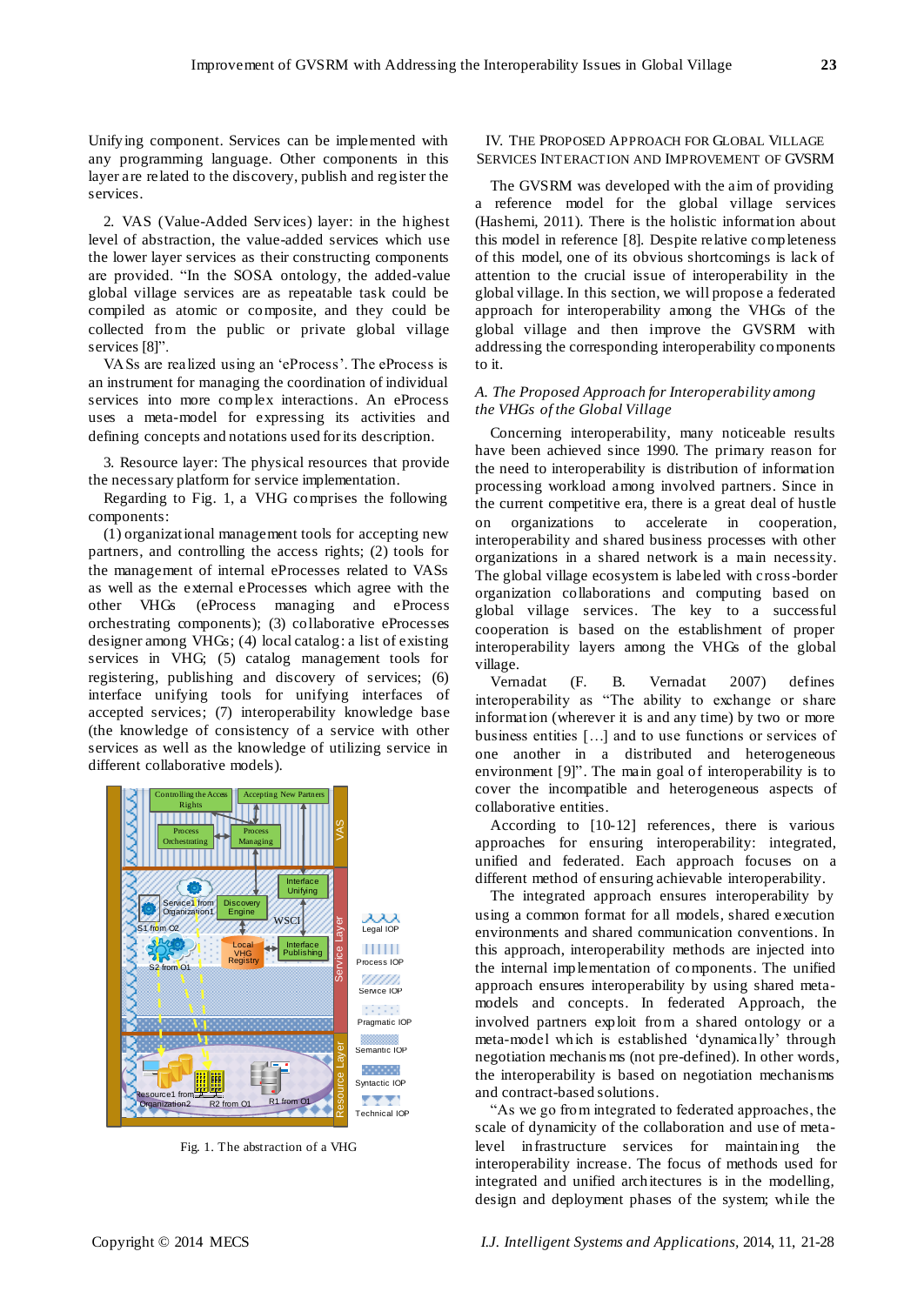Unifying component. Services can be implemented with any programming language. Other components in this layer are related to the discovery, publish and register the services.

2. VAS (Value-Added Services) layer: in the highest level of abstraction, the value-added services which use the lower layer services as their constructing components are provided. "In the SOSA ontology, the added-value global village services are as repeatable task could be compiled as atomic or composite, and they could be collected from the public or private global village services [8]".

VASs are realized using an 'eProcess'. The eProcess is an instrument for managing the coordination of individual services into more complex interactions. An eProcess uses a meta-model for expressing its activities and defining concepts and notations used for its description.

3. Resource layer: The physical resources that provide the necessary platform for service implementation.

Regarding to Fig. 1, a VHG comprises the following components:

(1) organizational management tools for accepting new partners, and controlling the access rights; (2) tools for the management of internal eProcesses related to VASs as well as the external eProcesses which agree with the other VHGs (eProcess managing and eProcess orchestrating components); (3) collaborative eProcesses designer among VHGs; (4) local catalog: a list of existing services in VHG; (5) catalog management tools for registering, publishing and discovery of services; (6) interface unifying tools for unifying interfaces of accepted services; (7) interoperability knowledge base (the knowledge of consistency of a service with other services as well as the knowledge of utilizing service in different collaborative models).



Fig. 1. The abstraction of a VHG

## IV. THE PROPOSED APPROACH FOR GLOBAL VILLAGE SERVICES INTERACTION AND IMPROVEMENT OF GVSRM

The GVSRM was developed with the aim of providing a reference model for the global village services (Hashemi, 2011). There is the holistic information about this model in reference [8]. Despite relative completeness of this model, one of its obvious shortcomings is lack of attention to the crucial issue of interoperability in the global village. In this section, we will propose a federated approach for interoperability among the VHGs of the global village and then improve the GVSRM with addressing the corresponding interoperability components to it.

# *A. The Proposed Approach for Interoperability among the VHGs of the Global Village*

Concerning interoperability, many noticeable results have been achieved since 1990. The primary reason for the need to interoperability is distribution of information processing workload among involved partners. Since in the current competitive era, there is a great deal of hustle on organizations to accelerate in cooperation, interoperability and shared business processes with other organizations in a shared network is a main necessity. The global village ecosystem is labeled with cross-border organization collaborations and computing based on global village services. The key to a successful cooperation is based on the establishment of proper interoperability layers among the VHGs of the global village.

Vernadat (F. B. Vernadat 2007) defines interoperability as "The ability to exchange or share information (wherever it is and any time) by two or more business entities […] and to use functions or services of one another in a distributed and heterogeneous environment [9]". The main goal of interoperability is to cover the incompatible and heterogeneous aspects of collaborative entities.

According to [10-12] references, there is various approaches for ensuring interoperability: integrated, unified and federated. Each approach focuses on a different method of ensuring achievable interoperability.

The integrated approach ensures interoperability by using a common format for all models, shared execution environments and shared communication conventions. In this approach, interoperability methods are injected into the internal implementation of components. The unified approach ensures interoperability by using shared metamodels and concepts. In federated Approach, the involved partners exploit from a shared ontology or a meta-model which is established 'dynamically' through negotiation mechanis ms (not pre-defined). In other words, the interoperability is based on negotiation mechanisms and contract-based solutions.

―As we go from integrated to federated approaches, the scale of dynamicity of the collaboration and use of metalevel infrastructure services for maintaining the interoperability increase. The focus of methods used for integrated and unified architectures is in the modelling, design and deployment phases of the system; while the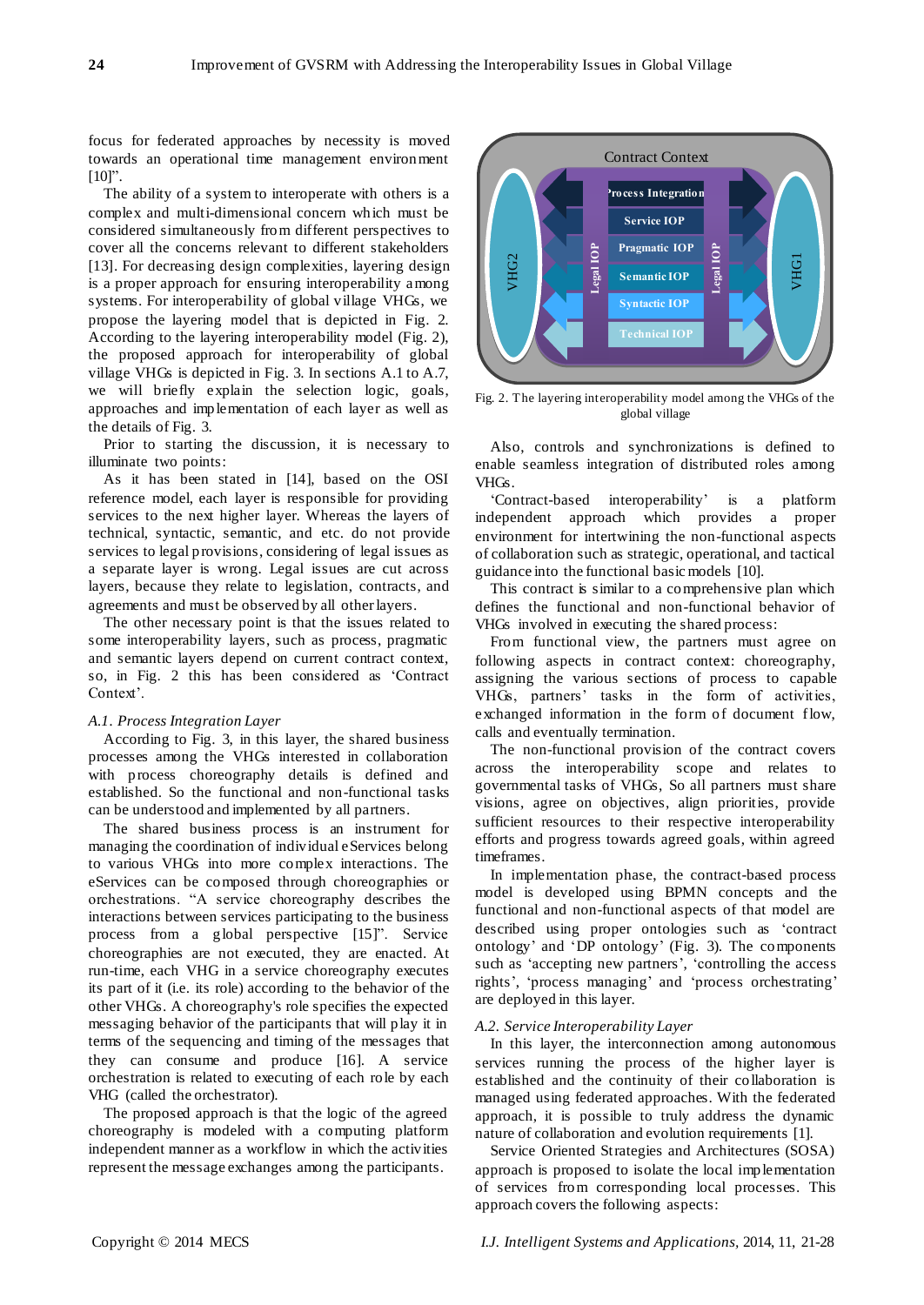focus for federated approaches by necessity is moved towards an operational time management environment  $[10]$ .

The ability of a system to interoperate with others is a complex and multi-dimensional concern which must be considered simultaneously from different perspectives to cover all the concerns relevant to different stakeholders [13]. For decreasing design complexities, layering design is a proper approach for ensuring interoperability among systems. For interoperability of global village VHGs, we propose the layering model that is depicted in Fig. 2. According to the layering interoperability model (Fig. 2), the proposed approach for interoperability of global village VHGs is depicted in Fig. 3. In sections A.1 to A.7, we will briefly explain the selection logic, goals, approaches and implementation of each layer as well as the details of Fig. 3.

Prior to starting the discussion, it is necessary to illuminate two points:

As it has been stated in [14], based on the OSI reference model, each layer is responsible for providing services to the next higher layer. Whereas the layers of technical, syntactic, semantic, and etc. do not provide services to legal provisions, considering of legal issues as a separate layer is wrong. Legal issues are cut across layers, because they relate to legislation, contracts, and agreements and must be observed by all other layers.

The other necessary point is that the issues related to some interoperability layers, such as process, pragmatic and semantic layers depend on current contract context, so, in Fig. 2 this has been considered as 'Contract Context'.

#### *A.1. Process Integration Layer*

According to Fig. 3, in this layer, the shared business processes among the VHGs interested in collaboration with process choreography details is defined and established. So the functional and non-functional tasks can be understood and implemented by all partners.

The shared business process is an instrument for managing the coordination of individual eServices belong to various VHGs into more complex interactions. The eServices can be composed through choreographies or orchestrations. ―A service choreography describes the interactions between services participating to the business process from a global perspective [15]". Service choreographies are not executed, they are enacted. At run-time, each VHG in a service choreography executes its part of it (i.e. its role) according to the behavior of the other VHGs. A choreography's role specifies the expected messaging behavior of the participants that will play it in terms of the sequencing and timing of the messages that they can consume and produce [16]. A service orchestration is related to executing of each role by each VHG (called the orchestrator).

The proposed approach is that the logic of the agreed choreography is modeled with a computing platform independent manner as a workflow in which the activities represent the message exchanges among the participants.



Fig. 2. The layering interoperability model among the VHGs of the global village

Also, controls and synchronizations is defined to enable seamless integration of distributed roles among VHGs.

‗Contract-based interoperability' is a platform independent approach which provides a proper environment for intertwining the non-functional aspects of collaboration such as strategic, operational, and tactical guidance into the functional basic models [10].

This contract is similar to a comprehensive plan which defines the functional and non-functional behavior of VHGs involved in executing the shared process:

From functional view, the partners must agree on following aspects in contract context: choreography, assigning the various sections of process to capable VHGs, partners' tasks in the form of activities, exchanged information in the form of document flow, calls and eventually termination.

The non*-*functional provision of the contract covers across the interoperability scope and relates to governmental tasks of VHGs, So all partners must share visions, agree on objectives, align priorities, provide sufficient resources to their respective interoperability efforts and progress towards agreed goals, within agreed timeframes.

In implementation phase, the contract-based process model is developed using BPMN concepts and the functional and non-functional aspects of that model are described using proper ontologies such as 'contract ontology' and ‗DP ontology' (Fig. 3). The components such as 'accepting new partners', 'controlling the access rights', 'process managing' and 'process orchestrating' are deployed in this layer.

#### *A.2. Service Interoperability Layer*

In this layer, the interconnection among autonomous services running the process of the higher layer is established and the continuity of their collaboration is managed using federated approaches. With the federated approach, it is possible to truly address the dynamic nature of collaboration and evolution requirements [1].

Service Oriented Strategies and Architectures (SOSA) approach is proposed to isolate the local implementation of services from corresponding local processes. This approach covers the following aspects: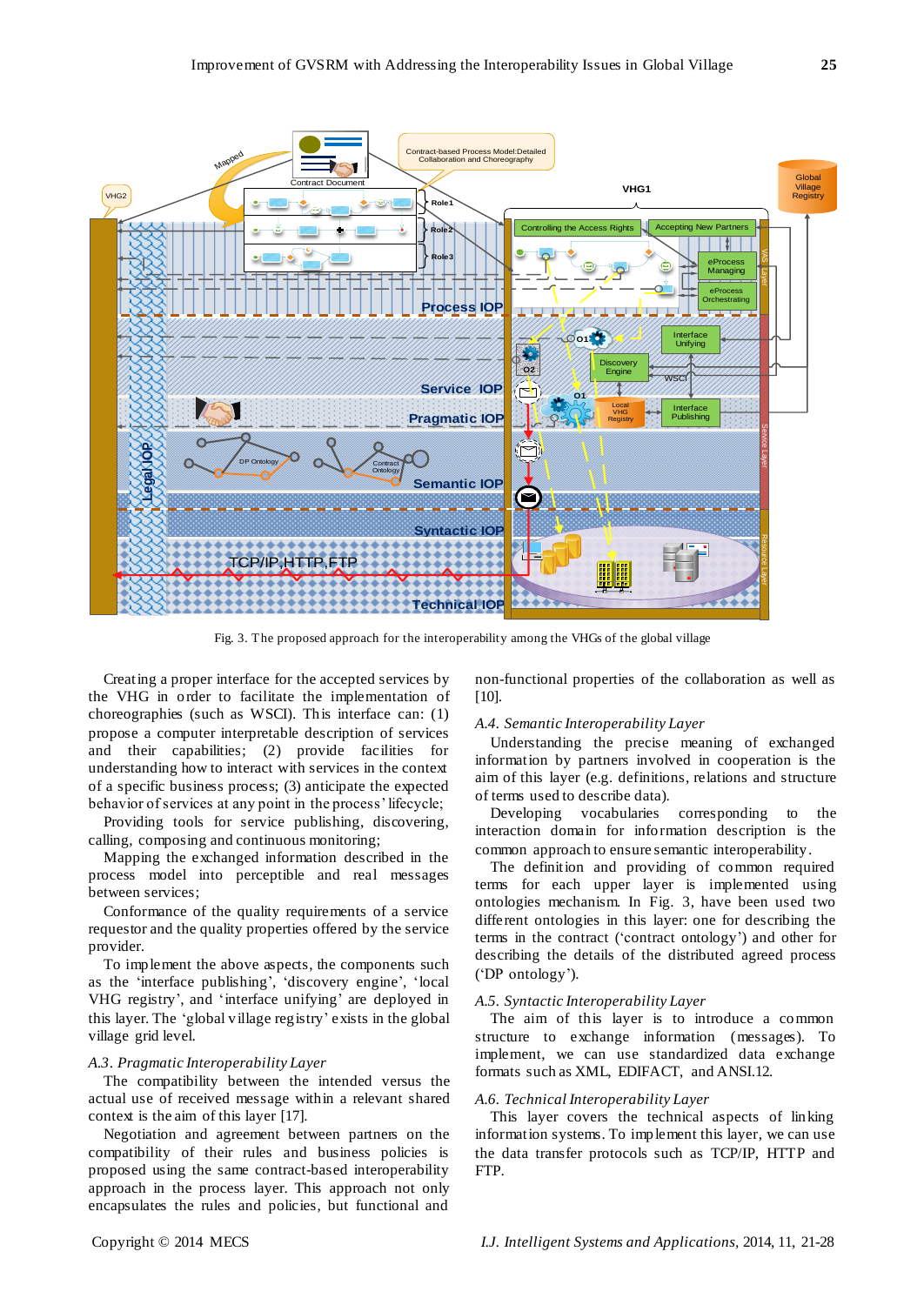

Fig. 3. The proposed approach for the interoperability among the VHGs of the global village

Creating a proper interface for the accepted services by the VHG in order to facilitate the implementation of choreographies (such as WSCI). This interface can: (1) propose a computer interpretable description of services and their capabilities; (2) provide facilities for understanding how to interact with services in the context of a specific business process; (3) anticipate the expected behavior of services at any point in the process' lifecycle;

Providing tools for service publishing, discovering, calling, composing and continuous monitoring;

Mapping the exchanged information described in the process model into perceptible and real messages between services;

Conformance of the quality requirements of a service requestor and the quality properties offered by the service provider.

To implement the above aspects, the components such as the 'interface publishing', 'discovery engine', 'local VHG registry', and 'interface unifying' are deployed in this layer. The ‗global village registry' exists in the global village grid level.

## *A.3*. *Pragmatic Interoperability Layer*

The compatibility between the intended versus the actual use of received message within a relevant shared context is the aim of this layer [17].

Negotiation and agreement between partners on the compatibility of their rules and business policies is proposed using the same contract-based interoperability approach in the process layer. This approach not only encapsulates the rules and policies, but functional and non-functional properties of the collaboration as well as [10].

#### *A.4. Semantic Interoperability Layer*

Understanding the precise meaning of exchanged information by partners involved in cooperation is the aim of this layer (e.g. definitions, relations and structure of terms used to describe data).

Developing vocabularies corresponding to the interaction domain for information description is the common approach to ensure semantic interoperability.

The definition and providing of common required terms for each upper layer is implemented using ontologies mechanism. In Fig. 3, have been used two different ontologies in this layer: one for describing the terms in the contract (‗contract ontology') and other for describing the details of the distributed agreed process (‗DP ontology').

#### *A.5. Syntactic Interoperability Layer*

The aim of this layer is to introduce a common structure to exchange information (messages). To implement, we can use standardized data exchange formats such as XML, EDIFACT, and ANSI.12.

## *A.6. Technical Interoperability Layer*

This layer covers the technical aspects of linking information systems. To implement this layer, we can use the data transfer protocols such as TCP/IP, HTTP and FTP.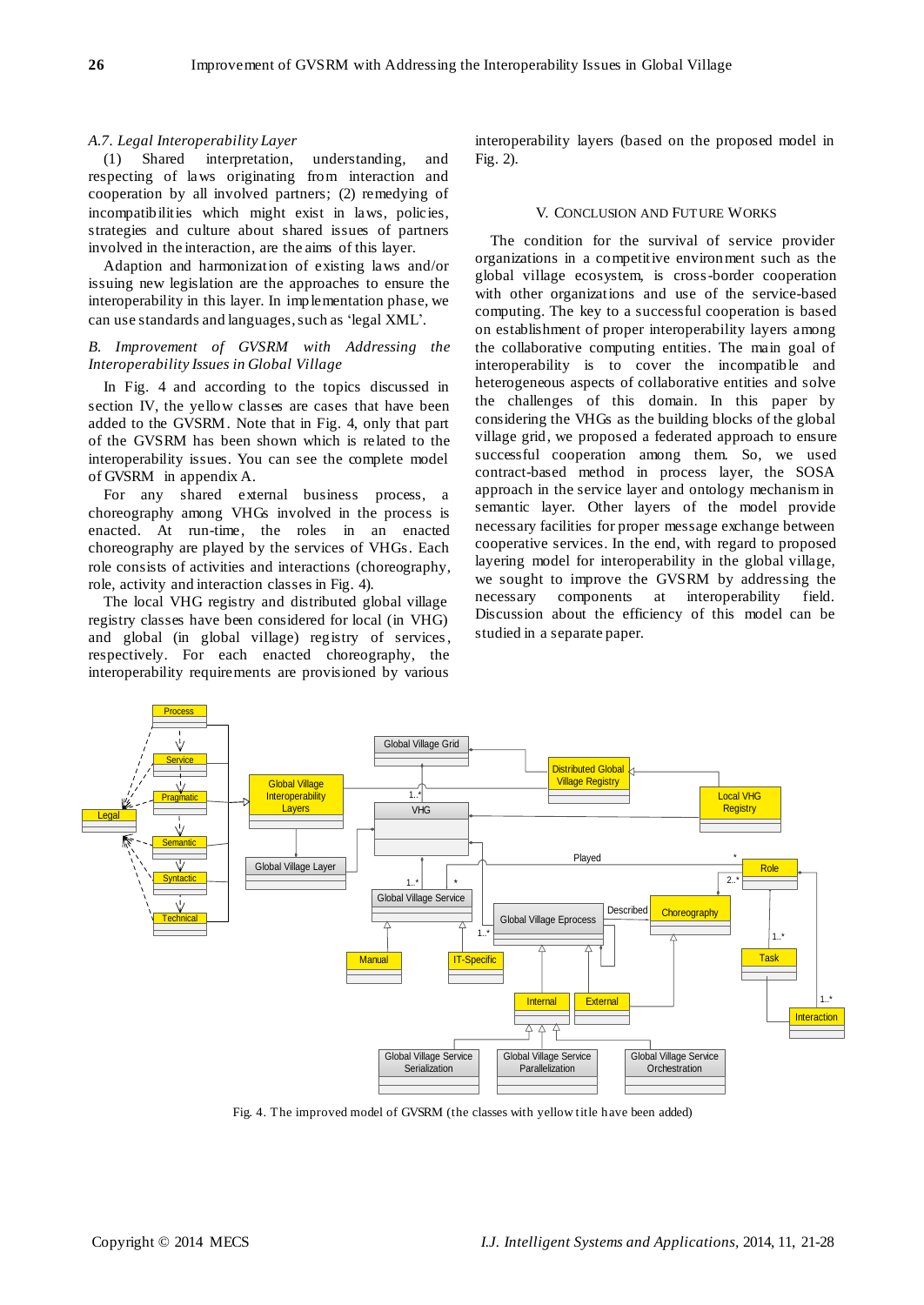## *A.7. Legal Interoperability Layer*

(1) Shared interpretation, understanding, and respecting of laws originating from interaction and cooperation by all involved partners; (2) remedying of incompatibilities which might exist in laws, policies, strategies and culture about shared issues of partners involved in the interaction, are the aims of this layer.

Adaption and harmonization of existing laws and/or issuing new legislation are the approaches to ensure the interoperability in this layer. In implementation phase, we can use standards and languages, such as 'legal XML'.

## *B. Improvement of GVSRM with Addressing the Interoperability Issues in Global Village*

In Fig. 4 and according to the topics discussed in section IV, the yellow classes are cases that have been added to the GVSRM. Note that in Fig. 4, only that part of the GVSRM has been shown which is related to the interoperability issues. You can see the complete model of GVSRM in appendix A.

For any shared external business process, a choreography among VHGs involved in the process is enacted. At run-time, the roles in an enacted choreography are played by the services of VHGs. Each role consists of activities and interactions (choreography, role, activity and interaction classes in Fig. 4).

The local VHG registry and distributed global village registry classes have been considered for local (in VHG) and global (in global village) registry of services, respectively. For each enacted choreography, the interoperability requirements are provisioned by various

interoperability layers (based on the proposed model in Fig. 2).

#### V. CONCLUSION AND FUTURE WORKS

The condition for the survival of service provider organizations in a competitive environment such as the global village ecosystem, is cross-border cooperation with other organizations and use of the service-based computing. The key to a successful cooperation is based on establishment of proper interoperability layers among the collaborative computing entities. The main goal of interoperability is to cover the incompatible and heterogeneous aspects of collaborative entities and solve the challenges of this domain. In this paper by considering the VHGs as the building blocks of the global village grid, we proposed a federated approach to ensure successful cooperation among them. So, we used contract-based method in process layer, the SOSA approach in the service layer and ontology mechanism in semantic layer. Other layers of the model provide necessary facilities for proper message exchange between cooperative services. In the end, with regard to proposed layering model for interoperability in the global village, we sought to improve the GVSRM by addressing the necessary components at interoperability field. Discussion about the efficiency of this model can be studied in a separate paper.



Fig. 4. The improved model of GVSRM (the classes with yellow title have been added)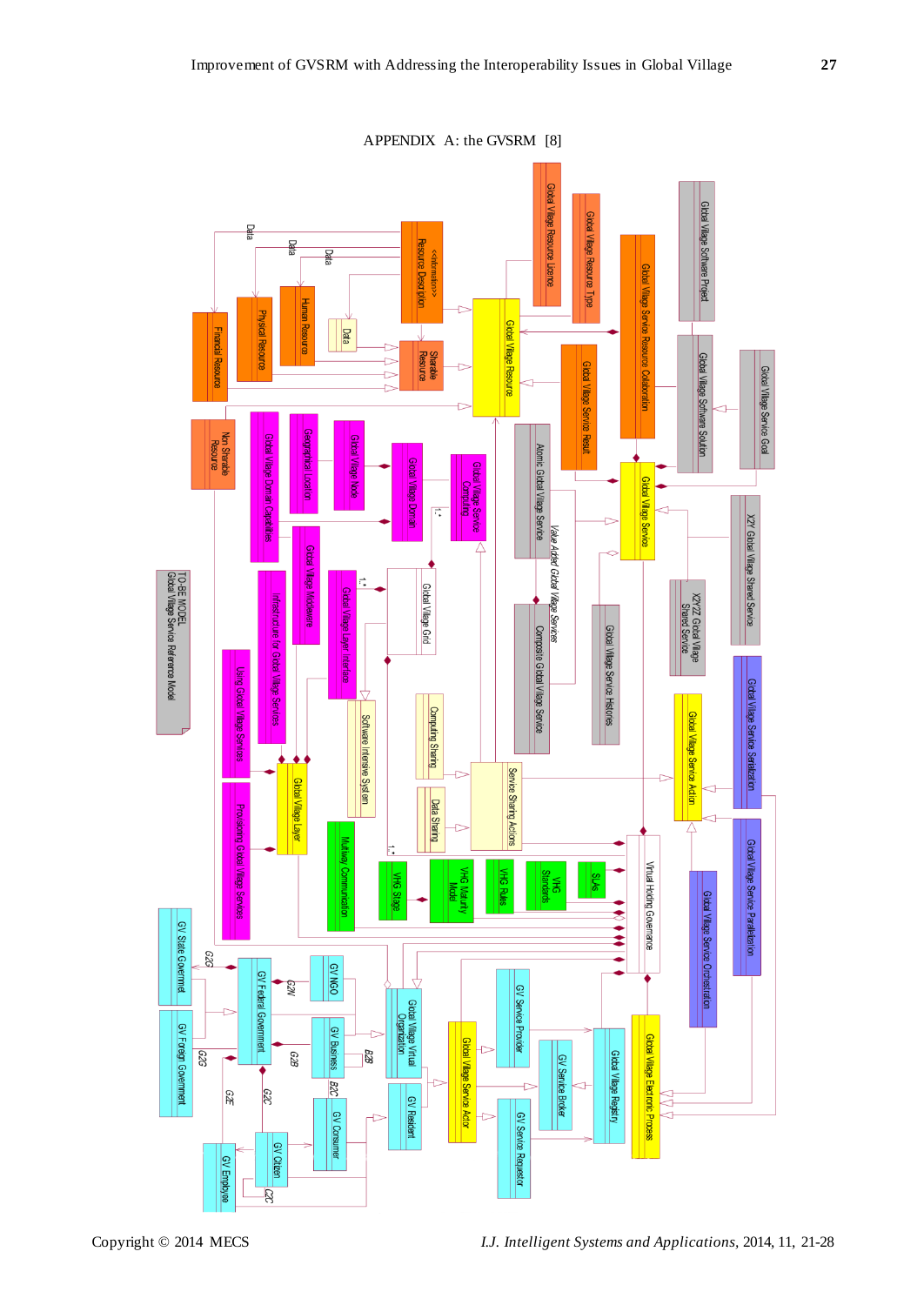

Copyright © 2014 MECS *I.J. Intelligent Systems and Applications,* 2014, 11, 21-28